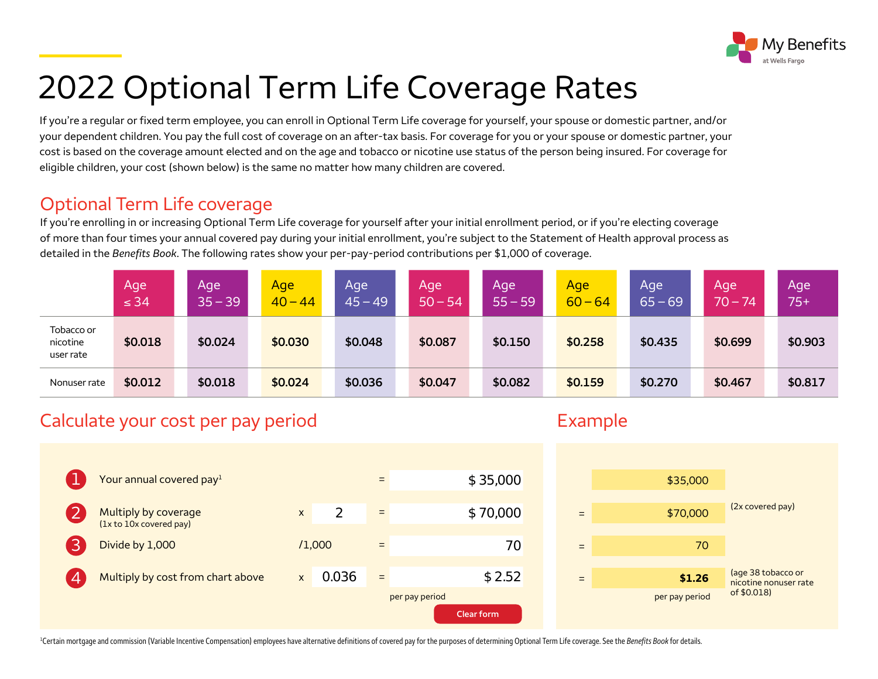

# 2022 Optional Term Life Coverage Rates

If you're a regular or fixed term employee, you can enroll in Optional Term Life coverage for yourself, your spouse or domestic partner, and/or your dependent children. You pay the full cost of coverage on an after-tax basis. For coverage for you or your spouse or domestic partner, your cost is based on the coverage amount elected and on the age and tobacco or nicotine use status of the person being insured. For coverage for eligible children, your cost (shown below) is the same no matter how many children are covered.

#### Optional Term Life coverage

If you're enrolling in or increasing Optional Term Life coverage for yourself after your initial enrollment period, or if you're electing coverage of more than four times your annual covered pay during your initial enrollment, you're subject to the Statement of Health approval process as detailed in the *Benefits Book*. The following rates show your per-pay-period contributions per \$1,000 of coverage.

|                                     | Age<br>$\leq 34$ | Aqe<br>$35 - 39$ | Age<br>$40 - 44$ | Age<br>$45 - 49$ | Age<br>$50 - 54$ | Age<br>$55 - 59$ | Age<br>$60 - 64$ | Age<br>$65 - 69$ | Age<br>$70 - 74$ | Age<br>$75+$ |
|-------------------------------------|------------------|------------------|------------------|------------------|------------------|------------------|------------------|------------------|------------------|--------------|
| Tobacco or<br>nicotine<br>user rate | \$0.018          | \$0.024          | \$0.030          | \$0.048          | \$0.087          | \$0.150          | \$0.258          | \$0.435          | \$0.699          | \$0.903      |
| Nonuser rate                        | \$0.012          | \$0.018          | \$0.024          | \$0.036          | \$0.047          | \$0.082          | \$0.159          | \$0.270          | \$0.467          | \$0.817      |

### Calculate your cost per pay period example Example



<sup>1</sup>Certain mortgage and commission (Variable Incentive Compensation) employees have alternative definitions of covered pay for the purposes of determining Optional Term Life coverage. See the *Benefits Book* for details.